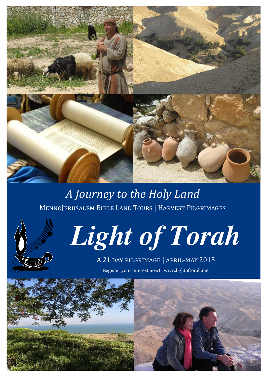

# *A Journey to the Holy Land* MennoJerusalem Bible Land Tours | Harvest Pilgrimages





### A 21 day pilgrimage | april-may 2015 Register your interest now! | www.lightoftorah.net